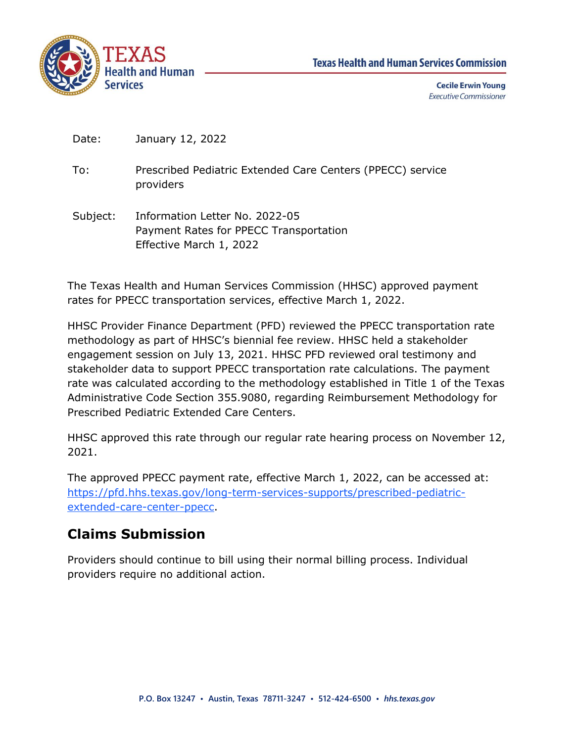

**Cecile Erwin Young Executive Commissioner** 

Date: January 12, 2022

To: Prescribed Pediatric Extended Care Centers (PPECC) service providers

Subject: Information Letter No. 2022-05 Payment Rates for PPECC Transportation Effective March 1, 2022

The Texas Health and Human Services Commission (HHSC) approved payment rates for PPECC transportation services, effective March 1, 2022.

HHSC Provider Finance Department (PFD) reviewed the PPECC transportation rate methodology as part of HHSC's biennial fee review. HHSC held a stakeholder engagement session on July 13, 2021. HHSC PFD reviewed oral testimony and stakeholder data to support PPECC transportation rate calculations. The payment rate was calculated according to the methodology established in Title 1 of the Texas Administrative Code Section 355.9080, regarding Reimbursement Methodology for Prescribed Pediatric Extended Care Centers.

HHSC approved this rate through our regular rate hearing process on November 12, 2021.

The approved PPECC payment rate, effective March 1, 2022, can be accessed at: [https://pfd.hhs.texas.gov/long-term-services-supports/prescribed-pediatric](https://pfd.hhs.texas.gov/long-term-services-supports/prescribed-pediatric-extended-care-center-ppecc)[extended-care-center-ppecc.](https://pfd.hhs.texas.gov/long-term-services-supports/prescribed-pediatric-extended-care-center-ppecc)

## **Claims Submission**

Providers should continue to bill using their normal billing process. Individual providers require no additional action.